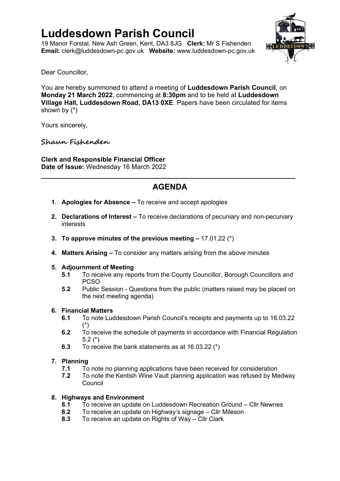# **Luddesdown Parish Council**

19 Manor Forstal, New Ash Green, Kent, DA3 8JG **Clerk:** Mr S Fishenden **Email:** [clerk@luddesdown-pc.gov.uk](mailto:clerk@luddesdown-pc.gov.uk) **Website:** www.luddesdown-pc.gov.uk



Dear Councillor,

You are hereby summoned to attend a meeting of **Luddesdown Parish Council**, on **Monday 21 March 2022**, commencing at **8:30pm** and to be held at **Luddesdown Village Hall, Luddesdown Road, DA13 0XE**. Papers have been circulated for items shown by (\*)

Yours sincerely,

### **Shaun Fishenden**

**Clerk and Responsible Financial Officer Date of Issue:** Wednesday 16 March 2022

### **AGENDA**

**\_\_\_\_\_\_\_\_\_\_\_\_\_\_\_\_\_\_\_\_\_\_\_\_\_\_\_\_\_\_\_\_\_\_\_\_\_\_\_\_\_\_\_\_\_\_\_\_\_\_\_\_\_\_\_\_\_\_\_\_\_\_\_\_**

- **1. Apologies for Absence –** To receive and accept apologies
- **2. Declarations of Interest –** To receive declarations of pecuniary and non-pecuniary interests
- **3. To approve minutes of the previous meeting –** 17.01.22 (\*)
- **4. Matters Arising –** To consider any matters arising from the above minutes

### **5. Adjournment of Meeting**

- **5.1** To receive any reports from the County Councillor, Borough Councillors and PCSO
- **5.2** Public Session Questions from the public (matters raised may be placed on the next meeting agenda)

### **6. Financial Matters**

- **6.1** To note Luddesdown Parish Council's receipts and payments up to 16.03.22 (\*)
- **6.2** To receive the schedule of payments in accordance with Financial Regulation 5.2 (\*)
- **6.3** To receive the bank statements as at 16.03.22 (\*)

### **7. Planning**

- **7.1** To note no planning applications have been received for consideration
- **7.2** To note the Kentish Wine Vault planning application was refused by Medway **Council**

### **8. Highways and Environment**

- **8.1** To receive an update on Luddesdown Recreation Ground Cllr Newnes
- **8.2** To receive an update on Highway's signage Cllr Mileson
- **8.3** To receive an update on Rights of Way Cllr Clark